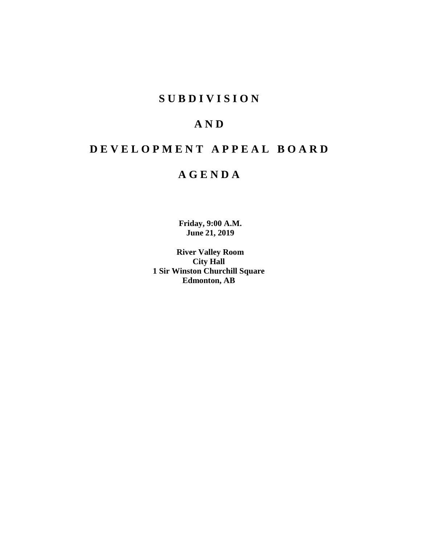# **S U B D I V I S I O N**

# **A N D**

# **D E V E L O P M E N T A P P E A L B O A R D**

# **A G E N D A**

**Friday, 9:00 A.M. June 21, 2019**

**River Valley Room City Hall 1 Sir Winston Churchill Square Edmonton, AB**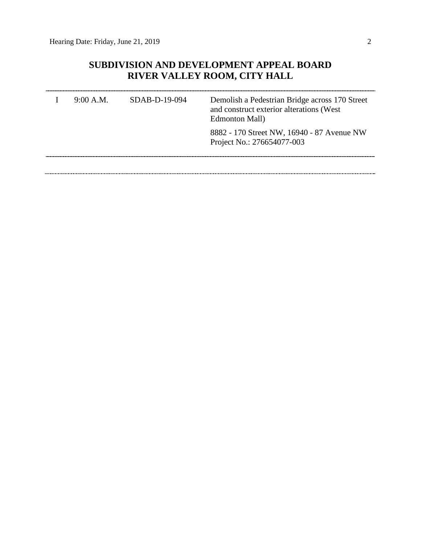## **SUBDIVISION AND DEVELOPMENT APPEAL BOARD RIVER VALLEY ROOM, CITY HALL**

| 9:00 A.M. | $SDAB-D-19-094$ | Demolish a Pedestrian Bridge across 170 Street<br>and construct exterior alterations (West<br>Edmonton Mall) |  |  |
|-----------|-----------------|--------------------------------------------------------------------------------------------------------------|--|--|
|           |                 | 8882 - 170 Street NW, 16940 - 87 Avenue NW<br>Project No.: 276654077-003                                     |  |  |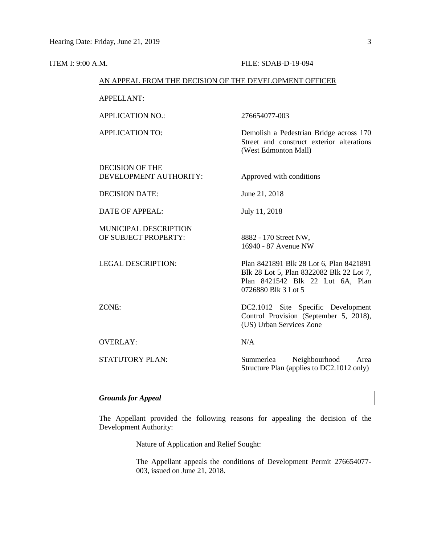| <b>ITEM I: 9:00 A.M.</b>                               | FILE: SDAB-D-19-094                                                                                                                            |  |  |
|--------------------------------------------------------|------------------------------------------------------------------------------------------------------------------------------------------------|--|--|
| AN APPEAL FROM THE DECISION OF THE DEVELOPMENT OFFICER |                                                                                                                                                |  |  |
| <b>APPELLANT:</b>                                      |                                                                                                                                                |  |  |
| <b>APPLICATION NO.:</b>                                | 276654077-003                                                                                                                                  |  |  |
| <b>APPLICATION TO:</b>                                 | Demolish a Pedestrian Bridge across 170<br>Street and construct exterior alterations<br>(West Edmonton Mall)                                   |  |  |
| <b>DECISION OF THE</b><br>DEVELOPMENT AUTHORITY:       | Approved with conditions                                                                                                                       |  |  |
| <b>DECISION DATE:</b>                                  | June 21, 2018                                                                                                                                  |  |  |
| <b>DATE OF APPEAL:</b>                                 | July 11, 2018                                                                                                                                  |  |  |
| MUNICIPAL DESCRIPTION<br>OF SUBJECT PROPERTY:          | 8882 - 170 Street NW,<br>16940 - 87 Avenue NW                                                                                                  |  |  |
| <b>LEGAL DESCRIPTION:</b>                              | Plan 8421891 Blk 28 Lot 6, Plan 8421891<br>Blk 28 Lot 5, Plan 8322082 Blk 22 Lot 7,<br>Plan 8421542 Blk 22 Lot 6A, Plan<br>0726880 Blk 3 Lot 5 |  |  |
| ZONE:                                                  | DC2.1012 Site Specific Development<br>Control Provision (September 5, 2018),<br>(US) Urban Services Zone                                       |  |  |
| <b>OVERLAY:</b>                                        | N/A                                                                                                                                            |  |  |
| STATUTORY PLAN:                                        | Neighbourhood<br>Summerlea<br>Area<br>Structure Plan (applies to DC2.1012 only)                                                                |  |  |

### *Grounds for Appeal*

The Appellant provided the following reasons for appealing the decision of the Development Authority:

Nature of Application and Relief Sought:

The Appellant appeals the conditions of Development Permit 276654077- 003, issued on June 21, 2018.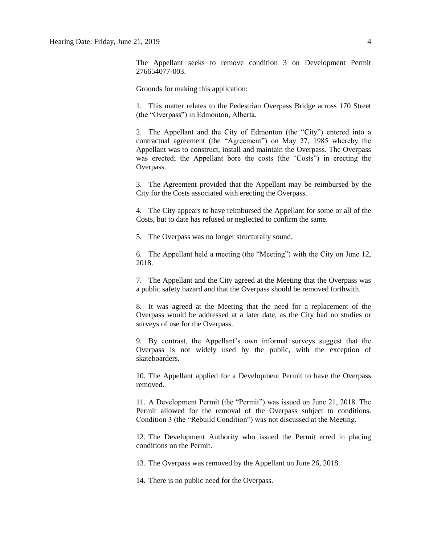The Appellant seeks to remove condition 3 on Development Permit 276654077-003.

Grounds for making this application:

1. This matter relates to the Pedestrian Overpass Bridge across 170 Street (the "Overpass") in Edmonton, Alberta.

2. The Appellant and the City of Edmonton (the "City") entered into a contractual agreement (the "Agreement") on May 27, 1985 whereby the Appellant was to construct, install and maintain the Overpass. The Overpass was erected; the Appellant bore the costs (the "Costs") in erecting the Overpass.

3. The Agreement provided that the Appellant may be reimbursed by the City for the Costs associated with erecting the Overpass.

4. The City appears to have reimbursed the Appellant for some or all of the Costs, but to date has refused or neglected to confirm the same.

5. The Overpass was no longer structurally sound.

6. The Appellant held a meeting (the "Meeting") with the City on June 12, 2018.

7. The Appellant and the City agreed at the Meeting that the Overpass was a public safety hazard and that the Overpass should be removed forthwith.

8. It was agreed at the Meeting that the need for a replacement of the Overpass would be addressed at a later date, as the City had no studies or surveys of use for the Overpass.

9. By contrast, the Appellant's own informal surveys suggest that the Overpass is not widely used by the public, with the exception of skateboarders.

10. The Appellant applied for a Development Permit to have the Overpass removed.

11. A Development Permit (the "Permit") was issued on June 21, 2018. The Permit allowed for the removal of the Overpass subject to conditions. Condition 3 (the "Rebuild Condition") was not discussed at the Meeting.

12. The Development Authority who issued the Permit erred in placing conditions on the Permit.

13. The Overpass was removed by the Appellant on June 26, 2018.

14. There is no public need for the Overpass.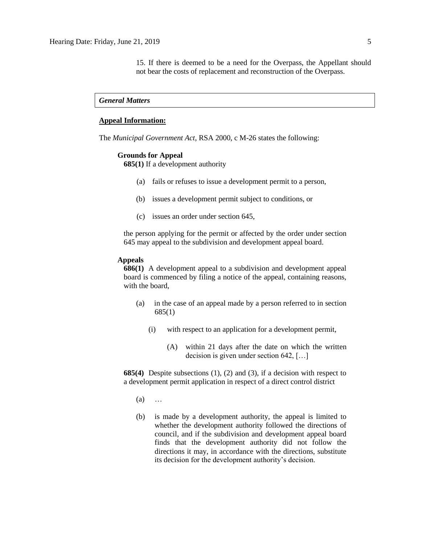15. If there is deemed to be a need for the Overpass, the Appellant should not bear the costs of replacement and reconstruction of the Overpass.

### *General Matters*

### **Appeal Information:**

The *Municipal Government Act*, RSA 2000, c M-26 states the following:

#### **Grounds for Appeal**

**685(1)** If a development authority

- (a) fails or refuses to issue a development permit to a person,
- (b) issues a development permit subject to conditions, or
- (c) issues an order under section 645,

the person applying for the permit or affected by the order under section 645 may appeal to the subdivision and development appeal board.

### **Appeals**

**686(1)** A development appeal to a subdivision and development appeal board is commenced by filing a notice of the appeal, containing reasons, with the board,

- (a) in the case of an appeal made by a person referred to in section 685(1)
	- (i) with respect to an application for a development permit,
		- (A) within 21 days after the date on which the written decision is given under section 642, […]

**685(4)** Despite subsections (1), (2) and (3), if a decision with respect to a development permit application in respect of a direct control district

- (a) …
- (b) is made by a development authority, the appeal is limited to whether the development authority followed the directions of council, and if the subdivision and development appeal board finds that the development authority did not follow the directions it may, in accordance with the directions, substitute its decision for the development authority's decision.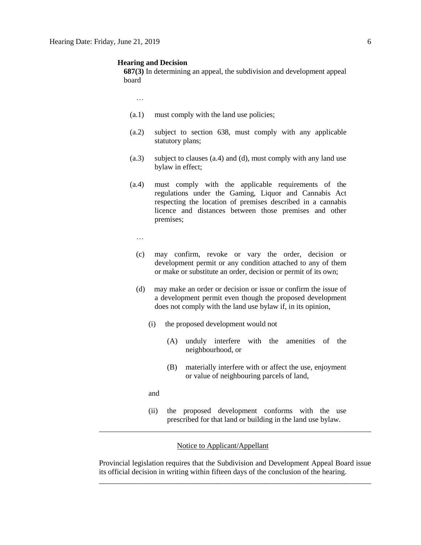#### **Hearing and Decision**

**687(3)** In determining an appeal, the subdivision and development appeal board

…

- (a.1) must comply with the land use policies;
- (a.2) subject to section 638, must comply with any applicable statutory plans;
- (a.3) subject to clauses (a.4) and (d), must comply with any land use bylaw in effect;
- (a.4) must comply with the applicable requirements of the regulations under the Gaming, Liquor and Cannabis Act respecting the location of premises described in a cannabis licence and distances between those premises and other premises;
	- …
	- (c) may confirm, revoke or vary the order, decision or development permit or any condition attached to any of them or make or substitute an order, decision or permit of its own;
	- (d) may make an order or decision or issue or confirm the issue of a development permit even though the proposed development does not comply with the land use bylaw if, in its opinion,
		- (i) the proposed development would not
			- (A) unduly interfere with the amenities of the neighbourhood, or
			- (B) materially interfere with or affect the use, enjoyment or value of neighbouring parcels of land,

and

(ii) the proposed development conforms with the use prescribed for that land or building in the land use bylaw.

### Notice to Applicant/Appellant

Provincial legislation requires that the Subdivision and Development Appeal Board issue its official decision in writing within fifteen days of the conclusion of the hearing. \_\_\_\_\_\_\_\_\_\_\_\_\_\_\_\_\_\_\_\_\_\_\_\_\_\_\_\_\_\_\_\_\_\_\_\_\_\_\_\_\_\_\_\_\_\_\_\_\_\_\_\_\_\_\_\_\_\_\_\_\_\_\_\_\_\_\_\_\_\_\_\_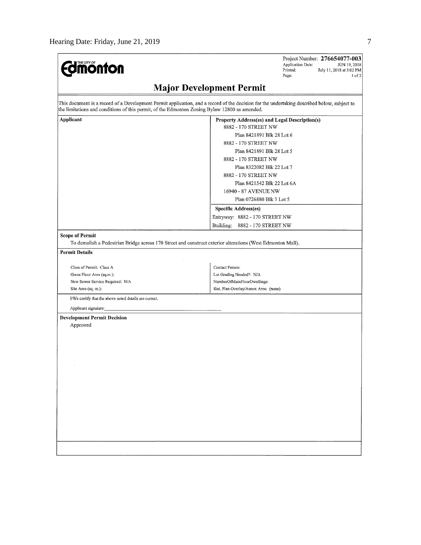| <b>dinonton</b>                                                                               | Project Number: 276654077-003<br>Application Date:<br>JUN 19, 2018<br>Printed:<br>July 11, 2018 at 3:02 PM<br>Page:<br>1 of 2               |
|-----------------------------------------------------------------------------------------------|---------------------------------------------------------------------------------------------------------------------------------------------|
|                                                                                               | <b>Major Development Permit</b>                                                                                                             |
| the limitations and conditions of this permit, of the Edmonton Zoning Bylaw 12800 as amended. | This document is a record of a Development Permit application, and a record of the decision for the undertaking described below, subject to |
| <b>Applicant</b>                                                                              | Property Address(es) and Legal Description(s)                                                                                               |
|                                                                                               | 8882 - 170 STREET NW                                                                                                                        |
|                                                                                               | Plan 8421891 Blk 28 Lot 6                                                                                                                   |
|                                                                                               | 8882 - 170 STREET NW                                                                                                                        |
|                                                                                               | Plan 8421891 Blk 28 Lot 5                                                                                                                   |
|                                                                                               | 8882 - 170 STREET NW                                                                                                                        |
|                                                                                               | Plan 8322082 Blk 22 Lot 7                                                                                                                   |
|                                                                                               | 8882 - 170 STREET NW                                                                                                                        |
|                                                                                               | Plan 8421542 Blk 22 Lot 6A                                                                                                                  |
|                                                                                               | 16940 - 87 AVENUE NW                                                                                                                        |
|                                                                                               | Plan 0726880 Blk 3 Lot 5                                                                                                                    |
|                                                                                               | Specific Address(es)                                                                                                                        |
|                                                                                               | Entryway: 8882 - 170 STREET NW                                                                                                              |
|                                                                                               | Building: 8882 - 170 STREET NW                                                                                                              |
| <b>Scope of Permit</b>                                                                        |                                                                                                                                             |
|                                                                                               | To demolish a Pedestrian Bridge across 170 Street and construct exterior alterations (West Edmonton Mall).                                  |
| <b>Permit Details</b>                                                                         |                                                                                                                                             |
|                                                                                               |                                                                                                                                             |
| Class of Permit: Class A<br>Gross Floor Area (sq.m.):                                         | Contact Person:<br>Lot Grading Needed?: N/A                                                                                                 |
| New Sewer Service Required: N/A                                                               | NumberOfMainFloorDwellings:                                                                                                                 |
| Site Area (sq. m.):                                                                           | Stat. Plan Overlay/Annex Area: (none)                                                                                                       |
| I/We certify that the above noted details are correct.                                        |                                                                                                                                             |
| Applicant signature:                                                                          |                                                                                                                                             |
|                                                                                               |                                                                                                                                             |
| <b>Development Permit Decision</b><br>Approved                                                |                                                                                                                                             |
|                                                                                               |                                                                                                                                             |
|                                                                                               |                                                                                                                                             |
|                                                                                               |                                                                                                                                             |
|                                                                                               |                                                                                                                                             |
|                                                                                               |                                                                                                                                             |
|                                                                                               |                                                                                                                                             |
|                                                                                               |                                                                                                                                             |
|                                                                                               |                                                                                                                                             |
|                                                                                               |                                                                                                                                             |
|                                                                                               |                                                                                                                                             |
|                                                                                               |                                                                                                                                             |
| $\sim 10^{11}$ m                                                                              |                                                                                                                                             |
|                                                                                               |                                                                                                                                             |
|                                                                                               |                                                                                                                                             |
|                                                                                               |                                                                                                                                             |
|                                                                                               |                                                                                                                                             |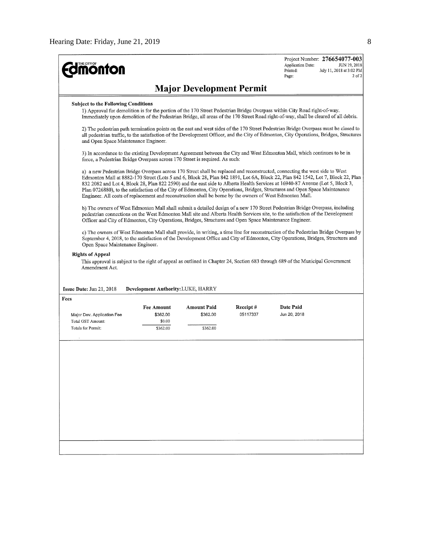| <b>monton</b>                                                                                                    |                                                                                                                                                                                                                                                                   |                                 |                      | Project Number: 276654077-003<br>Application Date:<br>JUN 19, 2018<br>July 11, 2018 at 3:02 PM<br>Printed:<br>$2$ of $2$<br>Page:                                                                                                                                                                                                                                                                                                                                                                                              |  |  |  |  |
|------------------------------------------------------------------------------------------------------------------|-------------------------------------------------------------------------------------------------------------------------------------------------------------------------------------------------------------------------------------------------------------------|---------------------------------|----------------------|--------------------------------------------------------------------------------------------------------------------------------------------------------------------------------------------------------------------------------------------------------------------------------------------------------------------------------------------------------------------------------------------------------------------------------------------------------------------------------------------------------------------------------|--|--|--|--|
|                                                                                                                  |                                                                                                                                                                                                                                                                   | <b>Major Development Permit</b> |                      |                                                                                                                                                                                                                                                                                                                                                                                                                                                                                                                                |  |  |  |  |
| <b>Subject to the Following Conditions</b>                                                                       |                                                                                                                                                                                                                                                                   |                                 |                      |                                                                                                                                                                                                                                                                                                                                                                                                                                                                                                                                |  |  |  |  |
|                                                                                                                  | 1) Approval for demolition is for the portion of the 170 Street Pedestrian Bridge Overpass within City Road right-of-way.<br>Immediately upon demolition of the Pedestrian Bridge, all areas of the 170 Street Road right-of-way, shall be cleared of all debris. |                                 |                      |                                                                                                                                                                                                                                                                                                                                                                                                                                                                                                                                |  |  |  |  |
| and Open Space Maintenance Engineer.                                                                             |                                                                                                                                                                                                                                                                   |                                 |                      | 2) The pedestrian path termination points on the east and west sides of the 170 Street Pedestrian Bridge Overpass must be closed to<br>all pedestrian traffic, to the satisfaction of the Development Officer, and the City of Edmonton, City Operations, Bridges, Structures                                                                                                                                                                                                                                                  |  |  |  |  |
| force, a Pedestrian Bridge Overpass across 170 Street is required. As such:                                      |                                                                                                                                                                                                                                                                   |                                 |                      | 3) In accordance to the existing Development Agreement between the City and West Edmonton Mall, which continues to be in                                                                                                                                                                                                                                                                                                                                                                                                       |  |  |  |  |
| Engineer. All costs of replacement and reconstruction shall be borne by the owners of West Edmonton Mall.        |                                                                                                                                                                                                                                                                   |                                 |                      | a) a new Pedestrian Bridge Overpass across 170 Street shall be replaced and reconstructed, connecting the west side to West<br>Edmonton Mall at 8882-170 Street (Lots 5 and 6, Block 28, Plan 842 1891, Lot 6A, Block 22, Plan 842 1542, Lot 7, Block 22, Plan<br>832 2082 and Lot 4, Block 28, Plan 822 2590) and the east side to Alberta Health Services at 16940-87 Avenue (Lot 5, Block 3,<br>Plan 0726880), to the satisfaction of the City of Edmonton, City Operations, Bridges, Structures and Open Space Maintenance |  |  |  |  |
| Officer and City of Edmonton, City Operations, Bridges, Structures and Open Space Maintenance Engineer.          |                                                                                                                                                                                                                                                                   |                                 |                      | b) The owners of West Edmonton Mall shall submit a detailed design of a new 170 Street Pedestrian Bridge Overpass, including<br>pedestrian connections on the West Edmonton Mall site and Alberta Health Services site, to the satisfaction of the Development                                                                                                                                                                                                                                                                 |  |  |  |  |
| Open Space Maintenance Engineer.<br><b>Rights of Appeal</b><br>Amendment Act.<br><b>Issue Date:</b> Jun 21, 2018 | Development Authority: LUKE, HARRY                                                                                                                                                                                                                                |                                 |                      | September 4, 2018, to the satisfaction of the Development Office and City of Edmonton, City Operations, Bridges, Structures and<br>This approval is subject to the right of appeal as outlined in Chapter 24, Section 683 through 689 of the Municipal Government                                                                                                                                                                                                                                                              |  |  |  |  |
| Fees                                                                                                             |                                                                                                                                                                                                                                                                   |                                 |                      |                                                                                                                                                                                                                                                                                                                                                                                                                                                                                                                                |  |  |  |  |
| Major Dev. Application Fee                                                                                       | <b>Fee Amount</b><br>\$362.00                                                                                                                                                                                                                                     | <b>Amount Paid</b><br>\$362.00  | Receipt#<br>05117337 | Date Paid<br>Jun 20, 2018                                                                                                                                                                                                                                                                                                                                                                                                                                                                                                      |  |  |  |  |
| Total GST Amount:                                                                                                | \$0.00                                                                                                                                                                                                                                                            |                                 |                      |                                                                                                                                                                                                                                                                                                                                                                                                                                                                                                                                |  |  |  |  |
| Totals for Permit:                                                                                               | \$362.00                                                                                                                                                                                                                                                          | \$362.00                        |                      |                                                                                                                                                                                                                                                                                                                                                                                                                                                                                                                                |  |  |  |  |
|                                                                                                                  |                                                                                                                                                                                                                                                                   |                                 |                      |                                                                                                                                                                                                                                                                                                                                                                                                                                                                                                                                |  |  |  |  |
|                                                                                                                  |                                                                                                                                                                                                                                                                   |                                 |                      |                                                                                                                                                                                                                                                                                                                                                                                                                                                                                                                                |  |  |  |  |
|                                                                                                                  |                                                                                                                                                                                                                                                                   |                                 |                      |                                                                                                                                                                                                                                                                                                                                                                                                                                                                                                                                |  |  |  |  |
|                                                                                                                  |                                                                                                                                                                                                                                                                   |                                 |                      |                                                                                                                                                                                                                                                                                                                                                                                                                                                                                                                                |  |  |  |  |